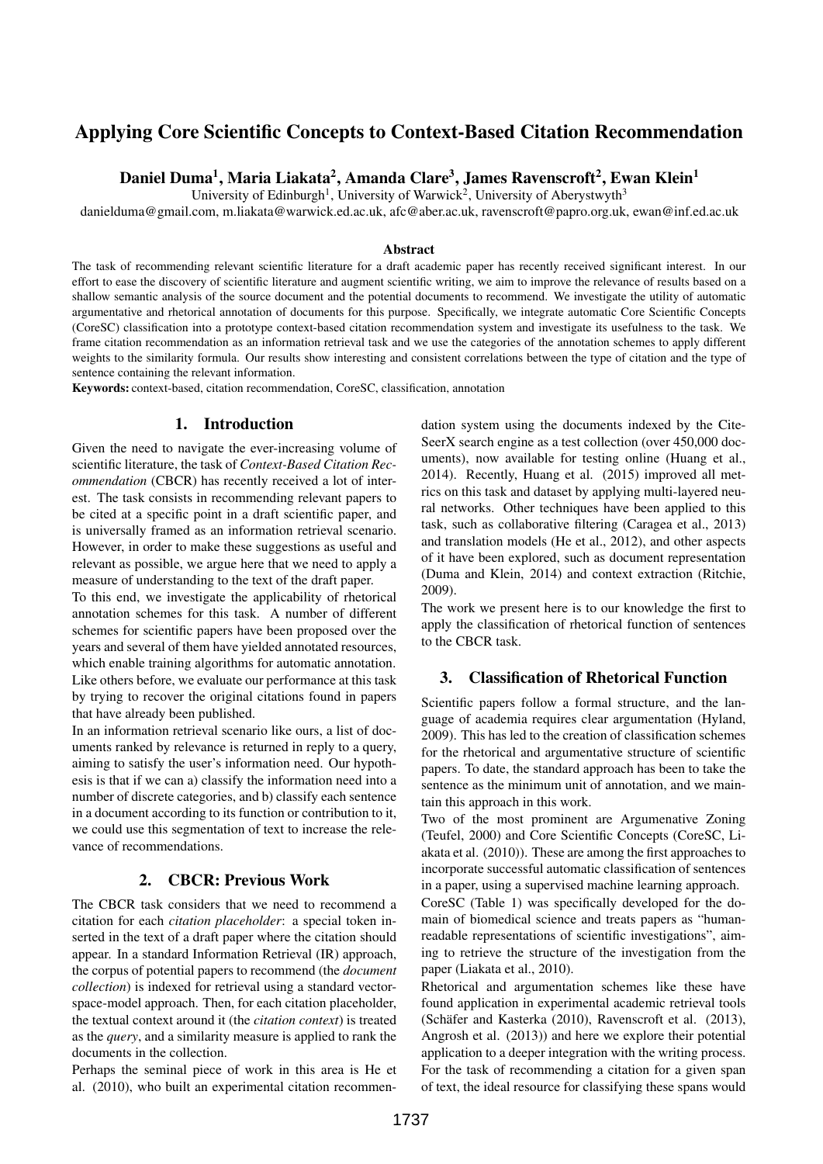# Applying Core Scientific Concepts to Context-Based Citation Recommendation

# Daniel Duma<sup>1</sup>, Maria Liakata<sup>2</sup>, Amanda Clare<sup>3</sup>, James Ravenscroft<sup>2</sup>, Ewan Klein<sup>1</sup>

University of Edinburgh<sup>1</sup>, University of Warwick<sup>2</sup>, University of Aberystwyth<sup>3</sup>

danielduma@gmail.com, m.liakata@warwick.ed.ac.uk, afc@aber.ac.uk, ravenscroft@papro.org.uk, ewan@inf.ed.ac.uk

#### Abstract

The task of recommending relevant scientific literature for a draft academic paper has recently received significant interest. In our effort to ease the discovery of scientific literature and augment scientific writing, we aim to improve the relevance of results based on a shallow semantic analysis of the source document and the potential documents to recommend. We investigate the utility of automatic argumentative and rhetorical annotation of documents for this purpose. Specifically, we integrate automatic Core Scientific Concepts (CoreSC) classification into a prototype context-based citation recommendation system and investigate its usefulness to the task. We frame citation recommendation as an information retrieval task and we use the categories of the annotation schemes to apply different weights to the similarity formula. Our results show interesting and consistent correlations between the type of citation and the type of sentence containing the relevant information.

Keywords: context-based, citation recommendation, CoreSC, classification, annotation

#### 1. Introduction

Given the need to navigate the ever-increasing volume of scientific literature, the task of *Context-Based Citation Recommendation* (CBCR) has recently received a lot of interest. The task consists in recommending relevant papers to be cited at a specific point in a draft scientific paper, and is universally framed as an information retrieval scenario. However, in order to make these suggestions as useful and relevant as possible, we argue here that we need to apply a measure of understanding to the text of the draft paper.

To this end, we investigate the applicability of rhetorical annotation schemes for this task. A number of different schemes for scientific papers have been proposed over the years and several of them have yielded annotated resources, which enable training algorithms for automatic annotation. Like others before, we evaluate our performance at this task by trying to recover the original citations found in papers that have already been published.

In an information retrieval scenario like ours, a list of documents ranked by relevance is returned in reply to a query, aiming to satisfy the user's information need. Our hypothesis is that if we can a) classify the information need into a number of discrete categories, and b) classify each sentence in a document according to its function or contribution to it, we could use this segmentation of text to increase the relevance of recommendations.

## 2. CBCR: Previous Work

The CBCR task considers that we need to recommend a citation for each *citation placeholder*: a special token inserted in the text of a draft paper where the citation should appear. In a standard Information Retrieval (IR) approach, the corpus of potential papers to recommend (the *document collection*) is indexed for retrieval using a standard vectorspace-model approach. Then, for each citation placeholder, the textual context around it (the *citation context*) is treated as the *query*, and a similarity measure is applied to rank the documents in the collection.

Perhaps the seminal piece of work in this area is He et al. (2010), who built an experimental citation recommendation system using the documents indexed by the Cite-SeerX search engine as a test collection (over 450,000 documents), now available for testing online (Huang et al., 2014). Recently, Huang et al. (2015) improved all metrics on this task and dataset by applying multi-layered neural networks. Other techniques have been applied to this task, such as collaborative filtering (Caragea et al., 2013) and translation models (He et al., 2012), and other aspects of it have been explored, such as document representation (Duma and Klein, 2014) and context extraction (Ritchie, 2009).

The work we present here is to our knowledge the first to apply the classification of rhetorical function of sentences to the CBCR task.

#### 3. Classification of Rhetorical Function

Scientific papers follow a formal structure, and the language of academia requires clear argumentation (Hyland, 2009). This has led to the creation of classification schemes for the rhetorical and argumentative structure of scientific papers. To date, the standard approach has been to take the sentence as the minimum unit of annotation, and we maintain this approach in this work.

Two of the most prominent are Argumenative Zoning (Teufel, 2000) and Core Scientific Concepts (CoreSC, Liakata et al. (2010)). These are among the first approaches to incorporate successful automatic classification of sentences in a paper, using a supervised machine learning approach.

CoreSC (Table 1) was specifically developed for the domain of biomedical science and treats papers as "humanreadable representations of scientific investigations", aiming to retrieve the structure of the investigation from the paper (Liakata et al., 2010).

Rhetorical and argumentation schemes like these have found application in experimental academic retrieval tools (Schäfer and Kasterka (2010), Ravenscroft et al. (2013), Angrosh et al. (2013)) and here we explore their potential application to a deeper integration with the writing process. For the task of recommending a citation for a given span of text, the ideal resource for classifying these spans would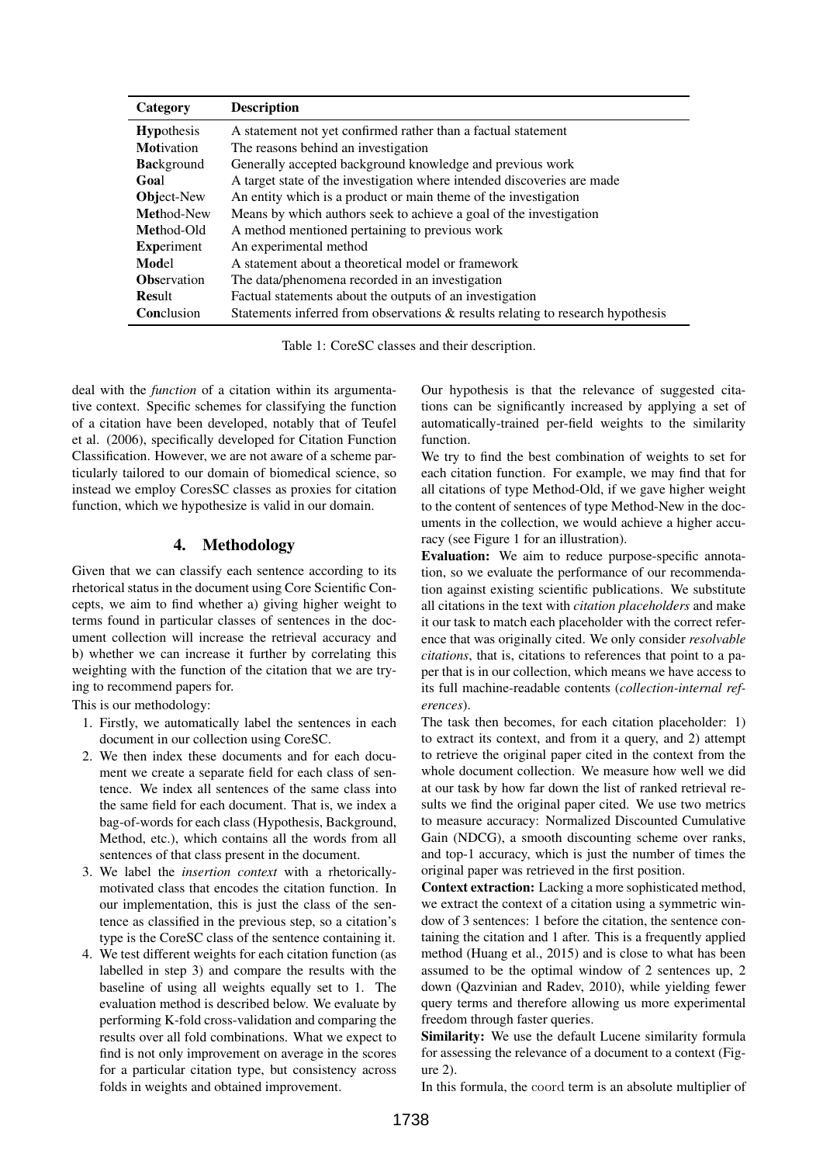| Category           | <b>Description</b>                                                              |
|--------------------|---------------------------------------------------------------------------------|
| <b>Hypothesis</b>  | A statement not yet confirmed rather than a factual statement                   |
| <b>Motivation</b>  | The reasons behind an investigation                                             |
| <b>Background</b>  | Generally accepted background knowledge and previous work                       |
| Goal               | A target state of the investigation where intended discoveries are made         |
| <b>Object-New</b>  | An entity which is a product or main theme of the investigation                 |
| Method-New         | Means by which authors seek to achieve a goal of the investigation              |
| Method-Old         | A method mentioned pertaining to previous work                                  |
| <b>Experiment</b>  | An experimental method                                                          |
| Model              | A statement about a theoretical model or framework                              |
| <b>Observation</b> | The data/phenomena recorded in an investigation                                 |
| Result             | Factual statements about the outputs of an investigation                        |
| Conclusion         | Statements inferred from observations & results relating to research hypothesis |

Table 1: CoreSC classes and their description.

deal with the *function* of a citation within its argumentative context. Specific schemes for classifying the function of a citation have been developed, notably that of Teufel et al. (2006), specifically developed for Citation Function Classification. However, we are not aware of a scheme particularly tailored to our domain of biomedical science, so instead we employ CoresSC classes as proxies for citation function, which we hypothesize is valid in our domain.

## 4. Methodology

Given that we can classify each sentence according to its rhetorical status in the document using Core Scientific Concepts, we aim to find whether a) giving higher weight to terms found in particular classes of sentences in the document collection will increase the retrieval accuracy and b) whether we can increase it further by correlating this weighting with the function of the citation that we are trying to recommend papers for.

This is our methodology:

- 1. Firstly, we automatically label the sentences in each document in our collection using CoreSC.
- 2. We then index these documents and for each document we create a separate field for each class of sentence. We index all sentences of the same class into the same field for each document. That is, we index a bag-of-words for each class (Hypothesis, Background, Method, etc.), which contains all the words from all sentences of that class present in the document.
- 3. We label the *insertion context* with a rhetoricallymotivated class that encodes the citation function. In our implementation, this is just the class of the sentence as classified in the previous step, so a citation's type is the CoreSC class of the sentence containing it.
- 4. We test different weights for each citation function (as labelled in step 3) and compare the results with the baseline of using all weights equally set to 1. The evaluation method is described below. We evaluate by performing K-fold cross-validation and comparing the results over all fold combinations. What we expect to find is not only improvement on average in the scores for a particular citation type, but consistency across folds in weights and obtained improvement.

Our hypothesis is that the relevance of suggested citations can be significantly increased by applying a set of automatically-trained per-field weights to the similarity function.

We try to find the best combination of weights to set for each citation function. For example, we may find that for all citations of type Method-Old, if we gave higher weight to the content of sentences of type Method-New in the documents in the collection, we would achieve a higher accuracy (see Figure 1 for an illustration).

Evaluation: We aim to reduce purpose-specific annotation, so we evaluate the performance of our recommendation against existing scientific publications. We substitute all citations in the text with *citation placeholders* and make it our task to match each placeholder with the correct reference that was originally cited. We only consider *resolvable citations*, that is, citations to references that point to a paper that is in our collection, which means we have access to its full machine-readable contents (*collection-internal references*).

The task then becomes, for each citation placeholder: 1) to extract its context, and from it a query, and 2) attempt to retrieve the original paper cited in the context from the whole document collection. We measure how well we did at our task by how far down the list of ranked retrieval results we find the original paper cited. We use two metrics to measure accuracy: Normalized Discounted Cumulative Gain (NDCG), a smooth discounting scheme over ranks, and top-1 accuracy, which is just the number of times the original paper was retrieved in the first position.

Context extraction: Lacking a more sophisticated method, we extract the context of a citation using a symmetric window of 3 sentences: 1 before the citation, the sentence containing the citation and 1 after. This is a frequently applied method (Huang et al., 2015) and is close to what has been assumed to be the optimal window of 2 sentences up, 2 down (Qazvinian and Radev, 2010), while yielding fewer query terms and therefore allowing us more experimental freedom through faster queries.

Similarity: We use the default Lucene similarity formula for assessing the relevance of a document to a context (Figure 2).

In this formula, the coord term is an absolute multiplier of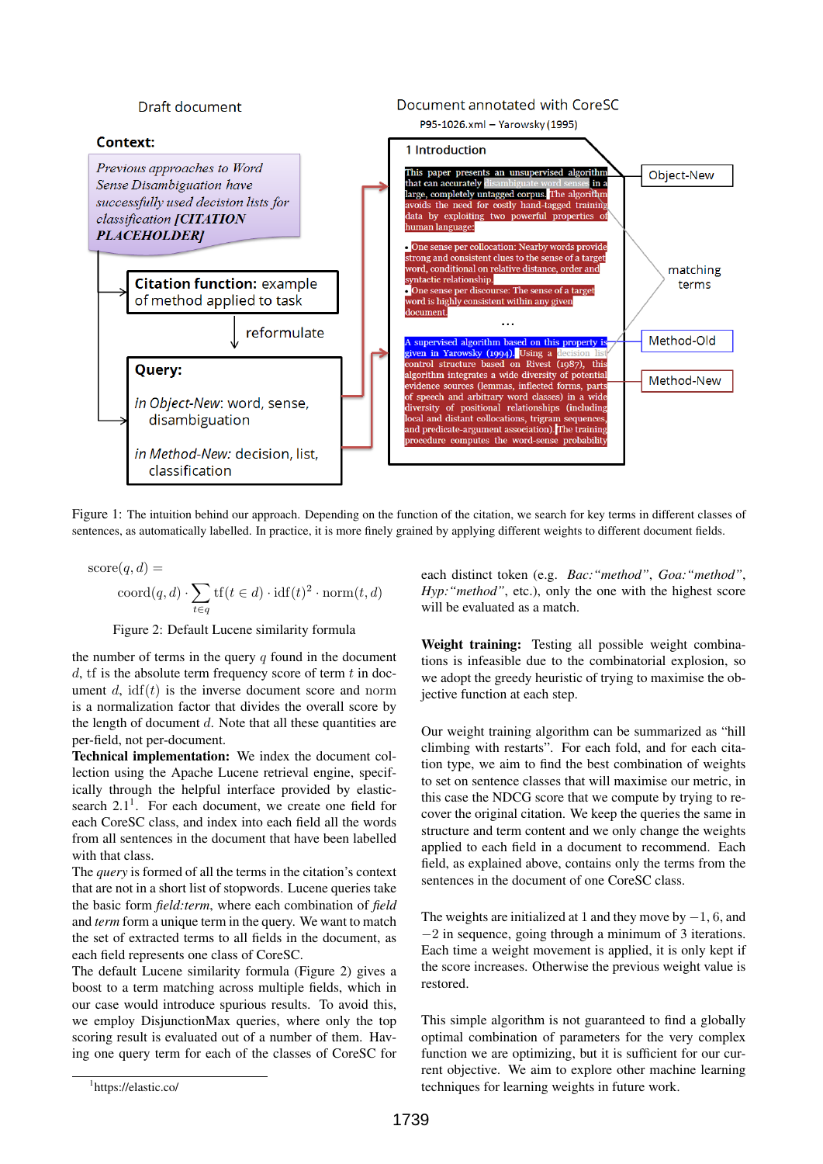

Figure 1: The intuition behind our approach. Depending on the function of the citation, we search for key terms in different classes of sentences, as automatically labelled. In practice, it is more finely grained by applying different weights to different document fields.

score
$$
(q, d)
$$
 =  
coord $(q, d) \cdot \sum_{t \in q} tf(t \in d) \cdot idf(t)^2 \cdot norm(t, d)$ 

## Figure 2: Default Lucene similarity formula

the number of terms in the query  $q$  found in the document  $d$ , if is the absolute term frequency score of term  $t$  in document d,  $\text{if}(t)$  is the inverse document score and norm is a normalization factor that divides the overall score by the length of document  $d$ . Note that all these quantities are per-field, not per-document.

Technical implementation: We index the document collection using the Apache Lucene retrieval engine, specifically through the helpful interface provided by elasticsearch  $2.1<sup>1</sup>$ . For each document, we create one field for each CoreSC class, and index into each field all the words from all sentences in the document that have been labelled with that class.

The *query* is formed of all the terms in the citation's context that are not in a short list of stopwords. Lucene queries take the basic form *field:term*, where each combination of *field* and *term* form a unique term in the query. We want to match the set of extracted terms to all fields in the document, as each field represents one class of CoreSC.

The default Lucene similarity formula (Figure 2) gives a boost to a term matching across multiple fields, which in our case would introduce spurious results. To avoid this, we employ DisjunctionMax queries, where only the top scoring result is evaluated out of a number of them. Having one query term for each of the classes of CoreSC for each distinct token (e.g. *Bac:"method"*, *Goa:"method"*, *Hyp:"method"*, etc.), only the one with the highest score will be evaluated as a match.

Weight training: Testing all possible weight combinations is infeasible due to the combinatorial explosion, so we adopt the greedy heuristic of trying to maximise the objective function at each step.

Our weight training algorithm can be summarized as "hill climbing with restarts". For each fold, and for each citation type, we aim to find the best combination of weights to set on sentence classes that will maximise our metric, in this case the NDCG score that we compute by trying to recover the original citation. We keep the queries the same in structure and term content and we only change the weights applied to each field in a document to recommend. Each field, as explained above, contains only the terms from the sentences in the document of one CoreSC class.

The weights are initialized at 1 and they move by  $-1$ , 6, and −2 in sequence, going through a minimum of 3 iterations. Each time a weight movement is applied, it is only kept if the score increases. Otherwise the previous weight value is restored.

This simple algorithm is not guaranteed to find a globally optimal combination of parameters for the very complex function we are optimizing, but it is sufficient for our current objective. We aim to explore other machine learning techniques for learning weights in future work.

<sup>1</sup> https://elastic.co/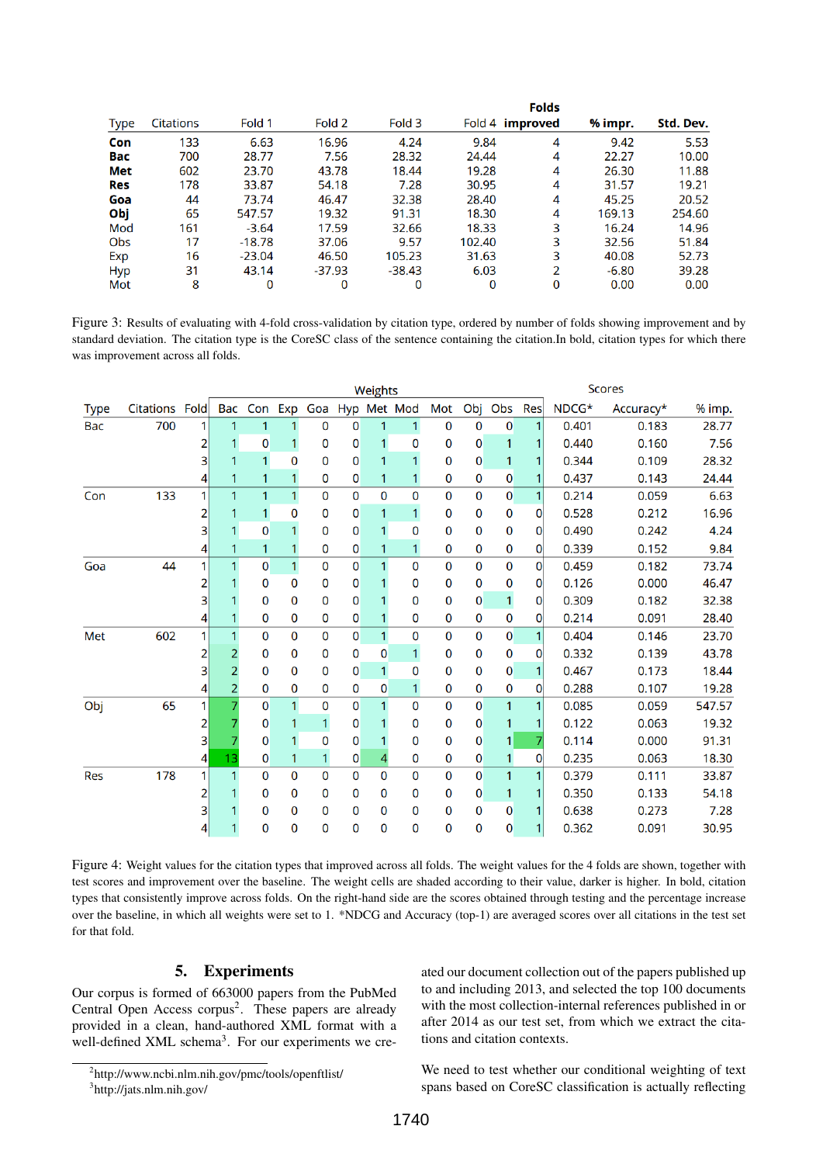| <b>Type</b> | <b>Citations</b> | Fold 1   | Fold 2   | Fold 3   |        | Fold 4 improved | % impr. | Std. Dev. |
|-------------|------------------|----------|----------|----------|--------|-----------------|---------|-----------|
| Con         | 133              | 6.63     | 16.96    | 4.24     | 9.84   | 4               | 9.42    | 5.53      |
| Bac         | 700              | 28.77    | 7.56     | 28.32    | 24.44  | 4               | 22.27   | 10.00     |
| Met         | 602              | 23.70    | 43.78    | 18.44    | 19.28  | 4               | 26.30   | 11.88     |
| Res         | 178              | 33.87    | 54.18    | 7.28     | 30.95  | 4               | 31.57   | 19.21     |
| Goa         | 44               | 73.74    | 46.47    | 32.38    | 28.40  | 4               | 45.25   | 20.52     |
| Obj         | 65               | 547.57   | 19.32    | 91.31    | 18.30  | 4               | 169.13  | 254.60    |
| Mod         | 161              | $-3.64$  | 17.59    | 32.66    | 18.33  | 3               | 16.24   | 14.96     |
| Obs         | 17               | $-18.78$ | 37.06    | 9.57     | 102.40 | 3               | 32.56   | 51.84     |
| Exp         | 16               | $-23.04$ | 46.50    | 105.23   | 31.63  | 3               | 40.08   | 52.73     |
| <b>Hyp</b>  | 31               | 43.14    | $-37.93$ | $-38.43$ | 6.03   | 2               | $-6.80$ | 39.28     |
| Mot         | 8                | 0        | 0        | 0        | 0      | 0               | 0.00    | 0.00      |

Figure 3: Results of evaluating with 4-fold cross-validation by citation type, ordered by number of folds showing improvement and by standard deviation. The citation type is the CoreSC class of the sentence containing the citation.In bold, citation types for which there was improvement across all folds.

|             |                |                | Weights        |   |              |             |                |              |                             |             | <b>Scores</b>  |                |                |       |           |        |
|-------------|----------------|----------------|----------------|---|--------------|-------------|----------------|--------------|-----------------------------|-------------|----------------|----------------|----------------|-------|-----------|--------|
| <b>Type</b> | Citations Fold |                |                |   |              |             |                |              | Bac Con Exp Goa Hyp Met Mod | Mot         | Obj            | Obs Res        |                | NDCG* | Accuracy* | % imp. |
| Bac         | 700            | 11             | 1              | 1 | 1            | 0           | 0              | 1            | $\mathbf{1}$                | $\mathbf 0$ | $\mathbf 0$    | $\bf{0}$       |                | 0.401 | 0.183     | 28.77  |
|             |                | 2              | 1              | 0 | $\mathbf{1}$ | 0           | 0              | $\mathbf{1}$ | 0                           | 0           | 0              | 1              |                | 0.440 | 0.160     | 7.56   |
|             |                | $\mathsf{B}$   | 1              | 1 | $\mathbf{0}$ | 0           | $\mathbf{0}$   | 1            | $\mathbf{1}$                | 0           | 0              | 1              |                | 0.344 | 0.109     | 28.32  |
|             |                | 41             |                | 1 | $\mathbf{1}$ | 0           | 0              | 1            | 1                           | 0           | $\mathbf 0$    | 0              |                | 0.437 | 0.143     | 24.44  |
| Con         | 133            | 1              | 1              | 1 | $\mathbf{1}$ | $\mathbf 0$ | 0              | $\mathbf 0$  | 0                           | $\mathbf 0$ | $\Omega$       | 0              |                | 0.214 | 0.059     | 6.63   |
|             |                |                |                |   | 0            | 0           | 0              | 1            | 1                           | 0           | 0              | 0              | $\overline{0}$ | 0.528 | 0.212     | 16.96  |
|             |                | 3              |                | 0 |              | 0           | 0              | 1            | $\overline{0}$              | 0           | $\Omega$       | 0              | $\Omega$       | 0.490 | 0.242     | 4.24   |
|             |                | 41             |                |   | 1            | 0           | 0              | 1            | $\overline{1}$              | 0           | 0              | 0              | $\overline{0}$ | 0.339 | 0.152     | 9.84   |
| Goa         | 44             | $\mathbf{1}$   |                | 0 | $\mathbf{1}$ | $\mathbf 0$ | 0              | 1            | $\mathbf 0$                 | $\mathbf 0$ | $\mathbf 0$    | $\mathbf 0$    | $\overline{0}$ | 0.459 | 0.182     | 73.74  |
|             |                | $\overline{2}$ |                | 0 | $\bf{0}$     | $\mathbf 0$ | 0              | 1            | 0                           | 0           | $\mathbf 0$    | 0              | $\mathbf{0}$   | 0.126 | 0.000     | 46.47  |
|             |                | 3              |                | 0 | 0            | 0           | 0              |              | 0                           | 0           | $\mathbf{0}$   | $\mathbf{1}$   | $\overline{0}$ | 0.309 | 0.182     | 32.38  |
|             |                | 41             |                | 0 | 0            | 0           | 0              | 1            | 0                           | $\mathbf 0$ | $\mathbf 0$    | 0              | $\Omega$       | 0.214 | 0.091     | 28.40  |
| Met         | 602            | 11             |                | 0 | 0            | 0           | $\Omega$       | 1            | 0                           | $\mathbf 0$ | $\Omega$       | $\overline{0}$ |                | 0.404 | 0.146     | 23.70  |
|             |                | 2              | 2              | 0 | 0            | 0           | 0              | 0            | 1                           | 0           | $\mathbf{0}$   | 0              | $\Omega$       | 0.332 | 0.139     | 43.78  |
|             |                | 3              |                | 0 | $\bf{0}$     | 0           | 0              | 1            | $\mathbf 0$                 | 0           | 0              | 0              |                | 0.467 | 0.173     | 18.44  |
|             |                | 41             | $\overline{2}$ | 0 | $\bf{0}$     | $\mathbf 0$ | 0              | 0            | $\overline{1}$              | 0           | 0              | $\mathbf 0$    | 0              | 0.288 | 0.107     | 19.28  |
| Obj         | 65             | 1              | 7              | 0 | $\mathbf{1}$ | 0           | 0              | 1            | $\overline{0}$              | $\mathbf 0$ | $\mathbf{0}$   | 1              |                | 0.085 | 0.059     | 547.57 |
|             |                | 2              |                | 0 | 1            | 1           | 0              |              | 0                           | 0           | 0              |                |                | 0.122 | 0.063     | 19.32  |
|             |                | 3              |                | 0 | 1            | 0           | 0              |              | 0                           | 0           | 0              | 1              |                | 0.114 | 0.000     | 91.31  |
|             |                | 41             | 13             | 0 | 1            | 1           | 0              | 4            | $\mathbf 0$                 | $\mathbf 0$ | 0              |                | $\Omega$       | 0.235 | 0.063     | 18.30  |
| Res         | 178            | 11             |                | 0 | 0            | 0           | $\overline{0}$ | $\mathbf 0$  | 0                           | $\mathbf 0$ | $\mathbf 0$    |                |                | 0.379 | 0.111     | 33.87  |
|             |                | $\overline{2}$ |                | 0 | 0            | 0           | 0              | $\mathbf{0}$ | 0                           | 0           | 0              | 1              |                | 0.350 | 0.133     | 54.18  |
|             |                | 3              |                | 0 | $\bf{0}$     | 0           | 0              | 0            | 0                           | $\mathbf 0$ | 0              | 0              |                | 0.638 | 0.273     | 7.28   |
|             |                | 4              |                | 0 | 0            | 0           | 0              | 0            | 0                           | 0           | $\overline{0}$ | 0              | 1              | 0.362 | 0.091     | 30.95  |

Figure 4: Weight values for the citation types that improved across all folds. The weight values for the 4 folds are shown, together with test scores and improvement over the baseline. The weight cells are shaded according to their value, darker is higher. In bold, citation types that consistently improve across folds. On the right-hand side are the scores obtained through testing and the percentage increase over the baseline, in which all weights were set to 1. \*NDCG and Accuracy (top-1) are averaged scores over all citations in the test set for that fold.

# 5. Experiments

Our corpus is formed of 663000 papers from the PubMed Central Open Access corpus<sup>2</sup>. These papers are already provided in a clean, hand-authored XML format with a well-defined XML schema<sup>3</sup>. For our experiments we cre-

2 http://www.ncbi.nlm.nih.gov/pmc/tools/openftlist/ 3 http://jats.nlm.nih.gov/

ated our document collection out of the papers published up to and including 2013, and selected the top 100 documents with the most collection-internal references published in or after 2014 as our test set, from which we extract the citations and citation contexts.

We need to test whether our conditional weighting of text spans based on CoreSC classification is actually reflecting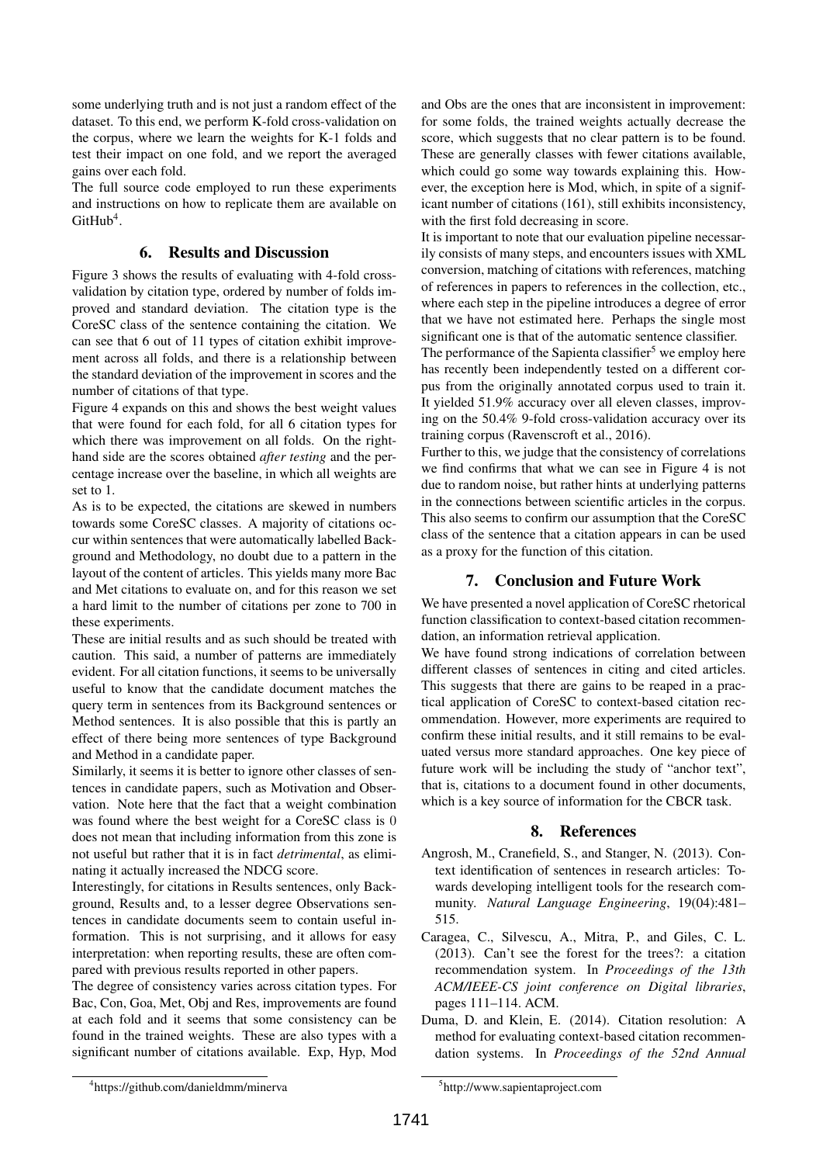some underlying truth and is not just a random effect of the dataset. To this end, we perform K-fold cross-validation on the corpus, where we learn the weights for K-1 folds and test their impact on one fold, and we report the averaged gains over each fold.

The full source code employed to run these experiments and instructions on how to replicate them are available on  $G$ itHub<sup>4</sup>.

#### 6. Results and Discussion

Figure 3 shows the results of evaluating with 4-fold crossvalidation by citation type, ordered by number of folds improved and standard deviation. The citation type is the CoreSC class of the sentence containing the citation. We can see that 6 out of 11 types of citation exhibit improvement across all folds, and there is a relationship between the standard deviation of the improvement in scores and the number of citations of that type.

Figure 4 expands on this and shows the best weight values that were found for each fold, for all 6 citation types for which there was improvement on all folds. On the righthand side are the scores obtained *after testing* and the percentage increase over the baseline, in which all weights are set to 1.

As is to be expected, the citations are skewed in numbers towards some CoreSC classes. A majority of citations occur within sentences that were automatically labelled Background and Methodology, no doubt due to a pattern in the layout of the content of articles. This yields many more Bac and Met citations to evaluate on, and for this reason we set a hard limit to the number of citations per zone to 700 in these experiments.

These are initial results and as such should be treated with caution. This said, a number of patterns are immediately evident. For all citation functions, it seems to be universally useful to know that the candidate document matches the query term in sentences from its Background sentences or Method sentences. It is also possible that this is partly an effect of there being more sentences of type Background and Method in a candidate paper.

Similarly, it seems it is better to ignore other classes of sentences in candidate papers, such as Motivation and Observation. Note here that the fact that a weight combination was found where the best weight for a CoreSC class is 0 does not mean that including information from this zone is not useful but rather that it is in fact *detrimental*, as eliminating it actually increased the NDCG score.

Interestingly, for citations in Results sentences, only Background, Results and, to a lesser degree Observations sentences in candidate documents seem to contain useful information. This is not surprising, and it allows for easy interpretation: when reporting results, these are often compared with previous results reported in other papers.

The degree of consistency varies across citation types. For Bac, Con, Goa, Met, Obj and Res, improvements are found at each fold and it seems that some consistency can be found in the trained weights. These are also types with a significant number of citations available. Exp, Hyp, Mod and Obs are the ones that are inconsistent in improvement: for some folds, the trained weights actually decrease the score, which suggests that no clear pattern is to be found. These are generally classes with fewer citations available, which could go some way towards explaining this. However, the exception here is Mod, which, in spite of a significant number of citations (161), still exhibits inconsistency, with the first fold decreasing in score.

It is important to note that our evaluation pipeline necessarily consists of many steps, and encounters issues with XML conversion, matching of citations with references, matching of references in papers to references in the collection, etc., where each step in the pipeline introduces a degree of error that we have not estimated here. Perhaps the single most significant one is that of the automatic sentence classifier.

The performance of the Sapienta classifier<sup>5</sup> we employ here has recently been independently tested on a different corpus from the originally annotated corpus used to train it. It yielded 51.9% accuracy over all eleven classes, improving on the 50.4% 9-fold cross-validation accuracy over its training corpus (Ravenscroft et al., 2016).

Further to this, we judge that the consistency of correlations we find confirms that what we can see in Figure 4 is not due to random noise, but rather hints at underlying patterns in the connections between scientific articles in the corpus. This also seems to confirm our assumption that the CoreSC class of the sentence that a citation appears in can be used as a proxy for the function of this citation.

# 7. Conclusion and Future Work

We have presented a novel application of CoreSC rhetorical function classification to context-based citation recommendation, an information retrieval application.

We have found strong indications of correlation between different classes of sentences in citing and cited articles. This suggests that there are gains to be reaped in a practical application of CoreSC to context-based citation recommendation. However, more experiments are required to confirm these initial results, and it still remains to be evaluated versus more standard approaches. One key piece of future work will be including the study of "anchor text", that is, citations to a document found in other documents, which is a key source of information for the CBCR task.

## 8. References

- Angrosh, M., Cranefield, S., and Stanger, N. (2013). Context identification of sentences in research articles: Towards developing intelligent tools for the research community. *Natural Language Engineering*, 19(04):481– 515.
- Caragea, C., Silvescu, A., Mitra, P., and Giles, C. L. (2013). Can't see the forest for the trees?: a citation recommendation system. In *Proceedings of the 13th ACM/IEEE-CS joint conference on Digital libraries*, pages 111–114. ACM.
- Duma, D. and Klein, E. (2014). Citation resolution: A method for evaluating context-based citation recommendation systems. In *Proceedings of the 52nd Annual*

<sup>4</sup> https://github.com/danieldmm/minerva

<sup>5</sup> http://www.sapientaproject.com